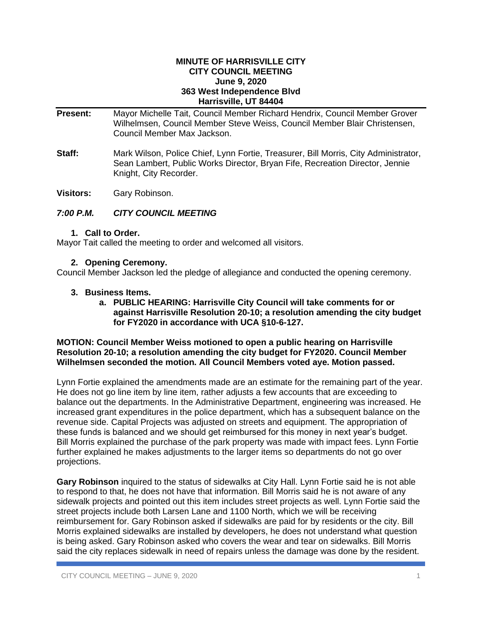#### **MINUTE OF HARRISVILLE CITY CITY COUNCIL MEETING June 9, 2020 363 West Independence Blvd Harrisville, UT 84404**

**Present:** Mayor Michelle Tait, Council Member Richard Hendrix, Council Member Grover Wilhelmsen, Council Member Steve Weiss, Council Member Blair Christensen, Council Member Max Jackson.

**Staff:** Mark Wilson, Police Chief, Lynn Fortie, Treasurer, Bill Morris, City Administrator, Sean Lambert, Public Works Director, Bryan Fife, Recreation Director, Jennie Knight, City Recorder.

**Visitors:** Gary Robinson.

# *7:00 P.M. CITY COUNCIL MEETING*

#### **1. Call to Order.**

Mayor Tait called the meeting to order and welcomed all visitors.

### **2. Opening Ceremony.**

Council Member Jackson led the pledge of allegiance and conducted the opening ceremony.

### **3. Business Items.**

**a. PUBLIC HEARING: Harrisville City Council will take comments for or against Harrisville Resolution 20-10; a resolution amending the city budget for FY2020 in accordance with UCA §10-6-127.**

### **MOTION: Council Member Weiss motioned to open a public hearing on Harrisville Resolution 20-10; a resolution amending the city budget for FY2020. Council Member Wilhelmsen seconded the motion. All Council Members voted aye. Motion passed.**

Lynn Fortie explained the amendments made are an estimate for the remaining part of the year. He does not go line item by line item, rather adjusts a few accounts that are exceeding to balance out the departments. In the Administrative Department, engineering was increased. He increased grant expenditures in the police department, which has a subsequent balance on the revenue side. Capital Projects was adjusted on streets and equipment. The appropriation of these funds is balanced and we should get reimbursed for this money in next year's budget. Bill Morris explained the purchase of the park property was made with impact fees. Lynn Fortie further explained he makes adjustments to the larger items so departments do not go over projections.

**Gary Robinson** inquired to the status of sidewalks at City Hall. Lynn Fortie said he is not able to respond to that, he does not have that information. Bill Morris said he is not aware of any sidewalk projects and pointed out this item includes street projects as well. Lynn Fortie said the street projects include both Larsen Lane and 1100 North, which we will be receiving reimbursement for. Gary Robinson asked if sidewalks are paid for by residents or the city. Bill Morris explained sidewalks are installed by developers, he does not understand what question is being asked. Gary Robinson asked who covers the wear and tear on sidewalks. Bill Morris said the city replaces sidewalk in need of repairs unless the damage was done by the resident.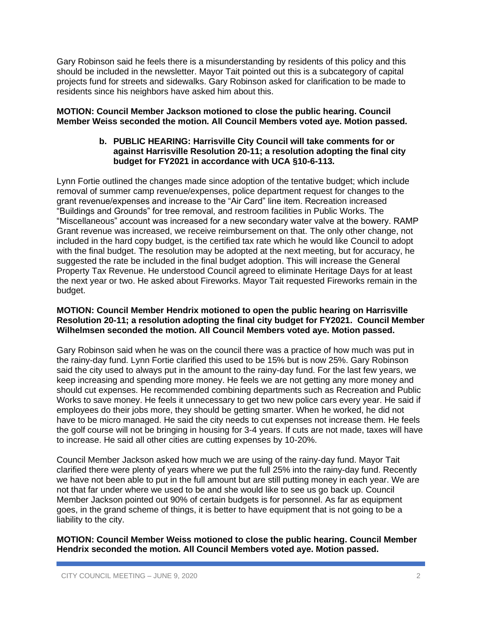Gary Robinson said he feels there is a misunderstanding by residents of this policy and this should be included in the newsletter. Mayor Tait pointed out this is a subcategory of capital projects fund for streets and sidewalks. Gary Robinson asked for clarification to be made to residents since his neighbors have asked him about this.

## **MOTION: Council Member Jackson motioned to close the public hearing. Council Member Weiss seconded the motion. All Council Members voted aye. Motion passed.**

### **b. PUBLIC HEARING: Harrisville City Council will take comments for or against Harrisville Resolution 20-11; a resolution adopting the final city budget for FY2021 in accordance with UCA §10-6-113.**

Lynn Fortie outlined the changes made since adoption of the tentative budget; which include removal of summer camp revenue/expenses, police department request for changes to the grant revenue/expenses and increase to the "Air Card" line item. Recreation increased "Buildings and Grounds" for tree removal, and restroom facilities in Public Works. The "Miscellaneous" account was increased for a new secondary water valve at the bowery. RAMP Grant revenue was increased, we receive reimbursement on that. The only other change, not included in the hard copy budget, is the certified tax rate which he would like Council to adopt with the final budget. The resolution may be adopted at the next meeting, but for accuracy, he suggested the rate be included in the final budget adoption. This will increase the General Property Tax Revenue. He understood Council agreed to eliminate Heritage Days for at least the next year or two. He asked about Fireworks. Mayor Tait requested Fireworks remain in the budget.

## **MOTION: Council Member Hendrix motioned to open the public hearing on Harrisville Resolution 20-11; a resolution adopting the final city budget for FY2021. Council Member Wilhelmsen seconded the motion. All Council Members voted aye. Motion passed.**

Gary Robinson said when he was on the council there was a practice of how much was put in the rainy-day fund. Lynn Fortie clarified this used to be 15% but is now 25%. Gary Robinson said the city used to always put in the amount to the rainy-day fund. For the last few years, we keep increasing and spending more money. He feels we are not getting any more money and should cut expenses. He recommended combining departments such as Recreation and Public Works to save money. He feels it unnecessary to get two new police cars every year. He said if employees do their jobs more, they should be getting smarter. When he worked, he did not have to be micro managed. He said the city needs to cut expenses not increase them. He feels the golf course will not be bringing in housing for 3-4 years. If cuts are not made, taxes will have to increase. He said all other cities are cutting expenses by 10-20%.

Council Member Jackson asked how much we are using of the rainy-day fund. Mayor Tait clarified there were plenty of years where we put the full 25% into the rainy-day fund. Recently we have not been able to put in the full amount but are still putting money in each year. We are not that far under where we used to be and she would like to see us go back up. Council Member Jackson pointed out 90% of certain budgets is for personnel. As far as equipment goes, in the grand scheme of things, it is better to have equipment that is not going to be a liability to the city.

**MOTION: Council Member Weiss motioned to close the public hearing. Council Member Hendrix seconded the motion. All Council Members voted aye. Motion passed.**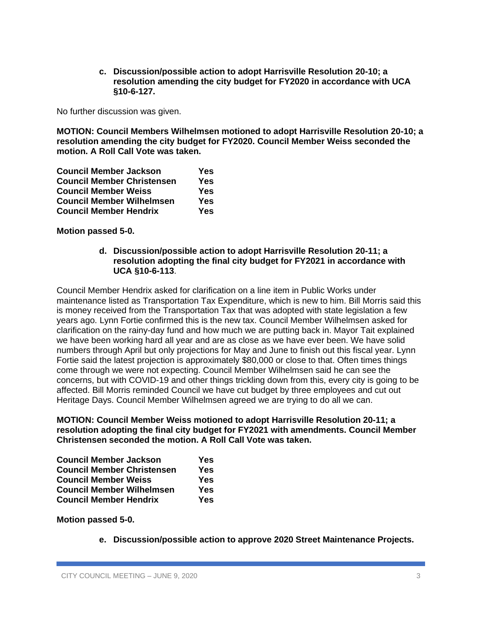**c. Discussion/possible action to adopt Harrisville Resolution 20-10; a resolution amending the city budget for FY2020 in accordance with UCA §10-6-127.**

No further discussion was given.

**MOTION: Council Members Wilhelmsen motioned to adopt Harrisville Resolution 20-10; a resolution amending the city budget for FY2020. Council Member Weiss seconded the motion. A Roll Call Vote was taken.**

| <b>Council Member Jackson</b>     | Yes |
|-----------------------------------|-----|
| <b>Council Member Christensen</b> | Yes |
| <b>Council Member Weiss</b>       | Yes |
| <b>Council Member Wilhelmsen</b>  | Yes |
| <b>Council Member Hendrix</b>     | Yes |

**Motion passed 5-0.**

**d. Discussion/possible action to adopt Harrisville Resolution 20-11; a resolution adopting the final city budget for FY2021 in accordance with UCA §10-6-113**.

Council Member Hendrix asked for clarification on a line item in Public Works under maintenance listed as Transportation Tax Expenditure, which is new to him. Bill Morris said this is money received from the Transportation Tax that was adopted with state legislation a few years ago. Lynn Fortie confirmed this is the new tax. Council Member Wilhelmsen asked for clarification on the rainy-day fund and how much we are putting back in. Mayor Tait explained we have been working hard all year and are as close as we have ever been. We have solid numbers through April but only projections for May and June to finish out this fiscal year. Lynn Fortie said the latest projection is approximately \$80,000 or close to that. Often times things come through we were not expecting. Council Member Wilhelmsen said he can see the concerns, but with COVID-19 and other things trickling down from this, every city is going to be affected. Bill Morris reminded Council we have cut budget by three employees and cut out Heritage Days. Council Member Wilhelmsen agreed we are trying to do all we can.

**MOTION: Council Member Weiss motioned to adopt Harrisville Resolution 20-11; a resolution adopting the final city budget for FY2021 with amendments. Council Member Christensen seconded the motion. A Roll Call Vote was taken.**

| <b>Council Member Jackson</b>     | Yes |
|-----------------------------------|-----|
| <b>Council Member Christensen</b> | Yes |
| <b>Council Member Weiss</b>       | Yes |
| <b>Council Member Wilhelmsen</b>  | Yes |
| <b>Council Member Hendrix</b>     | Yes |

**Motion passed 5-0.**

**e. Discussion/possible action to approve 2020 Street Maintenance Projects.**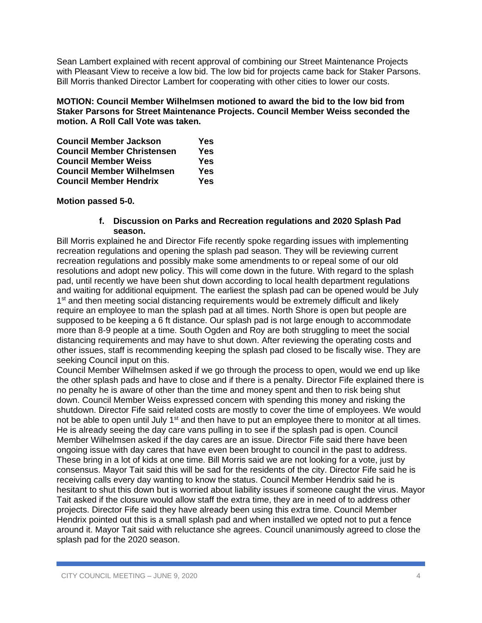Sean Lambert explained with recent approval of combining our Street Maintenance Projects with Pleasant View to receive a low bid. The low bid for projects came back for Staker Parsons. Bill Morris thanked Director Lambert for cooperating with other cities to lower our costs.

# **MOTION: Council Member Wilhelmsen motioned to award the bid to the low bid from Staker Parsons for Street Maintenance Projects. Council Member Weiss seconded the motion. A Roll Call Vote was taken.**

| <b>Council Member Jackson</b>     | Yes |
|-----------------------------------|-----|
| <b>Council Member Christensen</b> | Yes |
| <b>Council Member Weiss</b>       | Yes |
| <b>Council Member Wilhelmsen</b>  | Yes |
| <b>Council Member Hendrix</b>     | Yes |

# **Motion passed 5-0.**

### **f. Discussion on Parks and Recreation regulations and 2020 Splash Pad season.**

Bill Morris explained he and Director Fife recently spoke regarding issues with implementing recreation regulations and opening the splash pad season. They will be reviewing current recreation regulations and possibly make some amendments to or repeal some of our old resolutions and adopt new policy. This will come down in the future. With regard to the splash pad, until recently we have been shut down according to local health department regulations and waiting for additional equipment. The earliest the splash pad can be opened would be July 1<sup>st</sup> and then meeting social distancing requirements would be extremely difficult and likely require an employee to man the splash pad at all times. North Shore is open but people are supposed to be keeping a 6 ft distance. Our splash pad is not large enough to accommodate more than 8-9 people at a time. South Ogden and Roy are both struggling to meet the social distancing requirements and may have to shut down. After reviewing the operating costs and other issues, staff is recommending keeping the splash pad closed to be fiscally wise. They are seeking Council input on this.

Council Member Wilhelmsen asked if we go through the process to open, would we end up like the other splash pads and have to close and if there is a penalty. Director Fife explained there is no penalty he is aware of other than the time and money spent and then to risk being shut down. Council Member Weiss expressed concern with spending this money and risking the shutdown. Director Fife said related costs are mostly to cover the time of employees. We would not be able to open until July 1<sup>st</sup> and then have to put an employee there to monitor at all times. He is already seeing the day care vans pulling in to see if the splash pad is open. Council Member Wilhelmsen asked if the day cares are an issue. Director Fife said there have been ongoing issue with day cares that have even been brought to council in the past to address. These bring in a lot of kids at one time. Bill Morris said we are not looking for a vote, just by consensus. Mayor Tait said this will be sad for the residents of the city. Director Fife said he is receiving calls every day wanting to know the status. Council Member Hendrix said he is hesitant to shut this down but is worried about liability issues if someone caught the virus. Mayor Tait asked if the closure would allow staff the extra time, they are in need of to address other projects. Director Fife said they have already been using this extra time. Council Member Hendrix pointed out this is a small splash pad and when installed we opted not to put a fence around it. Mayor Tait said with reluctance she agrees. Council unanimously agreed to close the splash pad for the 2020 season.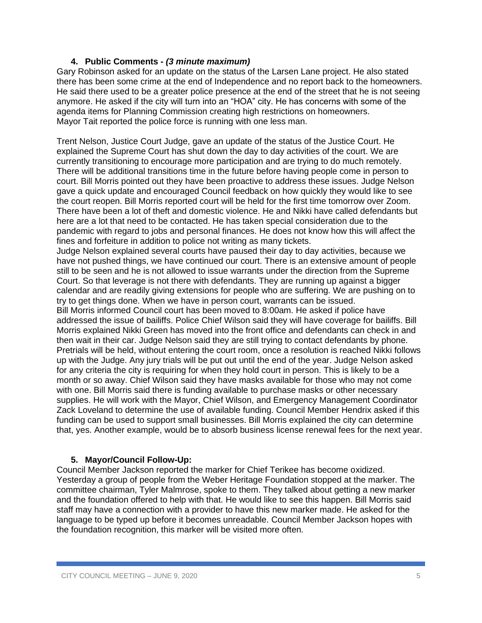# **4. Public Comments -** *(3 minute maximum)*

Gary Robinson asked for an update on the status of the Larsen Lane project. He also stated there has been some crime at the end of Independence and no report back to the homeowners. He said there used to be a greater police presence at the end of the street that he is not seeing anymore. He asked if the city will turn into an "HOA" city. He has concerns with some of the agenda items for Planning Commission creating high restrictions on homeowners. Mayor Tait reported the police force is running with one less man.

Trent Nelson, Justice Court Judge, gave an update of the status of the Justice Court. He explained the Supreme Court has shut down the day to day activities of the court. We are currently transitioning to encourage more participation and are trying to do much remotely. There will be additional transitions time in the future before having people come in person to court. Bill Morris pointed out they have been proactive to address these issues. Judge Nelson gave a quick update and encouraged Council feedback on how quickly they would like to see the court reopen. Bill Morris reported court will be held for the first time tomorrow over Zoom. There have been a lot of theft and domestic violence. He and Nikki have called defendants but here are a lot that need to be contacted. He has taken special consideration due to the pandemic with regard to jobs and personal finances. He does not know how this will affect the fines and forfeiture in addition to police not writing as many tickets.

Judge Nelson explained several courts have paused their day to day activities, because we have not pushed things, we have continued our court. There is an extensive amount of people still to be seen and he is not allowed to issue warrants under the direction from the Supreme Court. So that leverage is not there with defendants. They are running up against a bigger calendar and are readily giving extensions for people who are suffering. We are pushing on to try to get things done. When we have in person court, warrants can be issued.

Bill Morris informed Council court has been moved to 8:00am. He asked if police have addressed the issue of bailiffs. Police Chief Wilson said they will have coverage for bailiffs. Bill Morris explained Nikki Green has moved into the front office and defendants can check in and then wait in their car. Judge Nelson said they are still trying to contact defendants by phone. Pretrials will be held, without entering the court room, once a resolution is reached Nikki follows up with the Judge. Any jury trials will be put out until the end of the year. Judge Nelson asked for any criteria the city is requiring for when they hold court in person. This is likely to be a month or so away. Chief Wilson said they have masks available for those who may not come with one. Bill Morris said there is funding available to purchase masks or other necessary supplies. He will work with the Mayor, Chief Wilson, and Emergency Management Coordinator Zack Loveland to determine the use of available funding. Council Member Hendrix asked if this funding can be used to support small businesses. Bill Morris explained the city can determine that, yes. Another example, would be to absorb business license renewal fees for the next year.

# **5. Mayor/Council Follow-Up:**

Council Member Jackson reported the marker for Chief Terikee has become oxidized. Yesterday a group of people from the Weber Heritage Foundation stopped at the marker. The committee chairman, Tyler Malmrose, spoke to them. They talked about getting a new marker and the foundation offered to help with that. He would like to see this happen. Bill Morris said staff may have a connection with a provider to have this new marker made. He asked for the language to be typed up before it becomes unreadable. Council Member Jackson hopes with the foundation recognition, this marker will be visited more often.